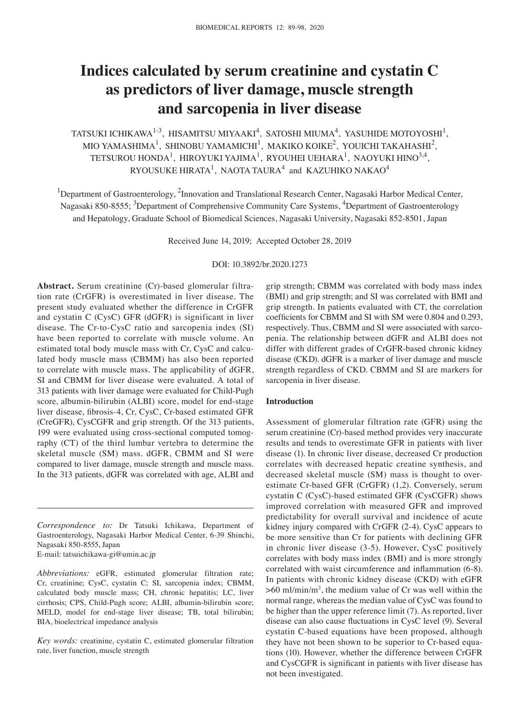# **Indices calculated by serum creatinine and cystatin C as predictors of liver damage, muscle strength and sarcopenia in liver disease**

TATSUKI ICHIKAWA $^{1\text{-}3}$ , HISAMITSU MIYAAKI $^{4}$ , SATOSHI MIUMA $^{4}$ , YASUHIDE MOTOYOSHI $^{1}$ , MIO YAMASHIMA<sup>1</sup>, SHINOBU YAMAMICHI<sup>1</sup>, MAKIKO KOIKE<sup>2</sup>, YOUICHI TAKAHASHI<sup>2</sup>, TETSUROU HONDA<sup>1</sup>, HIROYUKI YAJIMA<sup>1</sup>, RYOUHEI UEHARA<sup>1</sup>, NAOYUKI HINO<sup>3,4</sup>, RYOUSUKE HIRATA $^{\rm 1}$ , NAOTA TAURA $^{\rm 4}$  and KAZUHIKO NAKAO $^{\rm 4}$ 

<sup>1</sup>Department of Gastroenterology,  ${}^{2}$ Innovation and Translational Research Center, Nagasaki Harbor Medical Center, Nagasaki 850-8555; <sup>3</sup>Department of Comprehensive Community Care Systems, <sup>4</sup>Department of Gastroenterology and Hepatology, Graduate School of Biomedical Sciences, Nagasaki University, Nagasaki 852-8501, Japan

Received June 14, 2019; Accepted October 28, 2019

DOI: 10.3892/br.2020.1273

**Abstract.** Serum creatinine (Cr)-based glomerular filtration rate (CrGFR) is overestimated in liver disease. The present study evaluated whether the difference in CrGFR and cystatin C (CysC) GFR (dGFR) is significant in liver disease. The Cr-to-CysC ratio and sarcopenia index (SI) have been reported to correlate with muscle volume. An estimated total body muscle mass with Cr, CysC and calculated body muscle mass (CBMM) has also been reported to correlate with muscle mass. The applicability of dGFR, SI and CBMM for liver disease were evaluated. A total of 313 patients with liver damage were evaluated for Child-Pugh score, albumin-bilirubin (ALBI) score, model for end-stage liver disease, fibrosis‑4, Cr, CysC, Cr‑based estimated GFR (CreGFR), CysCGFR and grip strength. Of the 313 patients, 199 were evaluated using cross-sectional computed tomography (CT) of the third lumbar vertebra to determine the skeletal muscle (SM) mass. dGFR, CBMM and SI were compared to liver damage, muscle strength and muscle mass. In the 313 patients, dGFR was correlated with age, ALBI and

grip strength; CBMM was correlated with body mass index (BMI) and grip strength; and SI was correlated with BMI and grip strength. In patients evaluated with CT, the correlation coefficients for CBMM and SI with SM were 0.804 and 0.293, respectively. Thus, CBMM and SI were associated with sarcopenia. The relationship between dGFR and ALBI does not differ with different grades of CrGFR-based chronic kidney disease (CKD). dGFR is a marker of liver damage and muscle strength regardless of CKD. CBMM and SI are markers for sarcopenia in liver disease.

## **Introduction**

Assessment of glomerular filtration rate (GFR) using the serum creatinine (Cr)-based method provides very inaccurate results and tends to overestimate GFR in patients with liver disease (1). In chronic liver disease, decreased Cr production correlates with decreased hepatic creatine synthesis, and decreased skeletal muscle (SM) mass is thought to overestimate Cr-based GFR (CrGFR) (1,2). Conversely, serum cystatin C (CysC)-based estimated GFR (CysCGFR) shows improved correlation with measured GFR and improved predictability for overall survival and incidence of acute kidney injury compared with CrGFR (2‑4). CysC appears to be more sensitive than Cr for patients with declining GFR in chronic liver disease (3-5). However, CysC positively correlates with body mass index (BMI) and is more strongly correlated with waist circumference and inflammation (6‑8). In patients with chronic kidney disease (CKD) with eGFR  $>60$  ml/min/m<sup>2</sup>, the medium value of Cr was well within the normal range, whereas the median value of CysC was found to be higher than the upper reference limit (7). As reported, liver disease can also cause fluctuations in CysC level (9). Several cystatin C-based equations have been proposed, although they have not been shown to be superior to Cr-based equations (10). However, whether the difference between CrGFR and CysCGFR is significant in patients with liver disease has not been investigated.

*Correspondence to:* Dr Tatsuki Ichikawa, Department of Gastroenterology, Nagasaki Harbor Medical Center, 6‑39 Shinchi, Nagasaki 850-8555, Japan

E-mail: tatsuichikawa-gi@umin.ac.jp

*Abbreviations:* eGFR, estimated glomerular filtration rate; Cr, creatinine; CysC, cystatin C; SI, sarcopenia index; CBMM, calculated body muscle mass; CH, chronic hepatitis; LC, liver cirrhosis; CPS, Child-Pugh score; ALBI, albumin-bilirubin score; MELD, model for end-stage liver disease; TB, total bilirubin; BIA, bioelectrical impedance analysis

*Key words:* creatinine, cystatin C, estimated glomerular filtration rate, liver function, muscle strength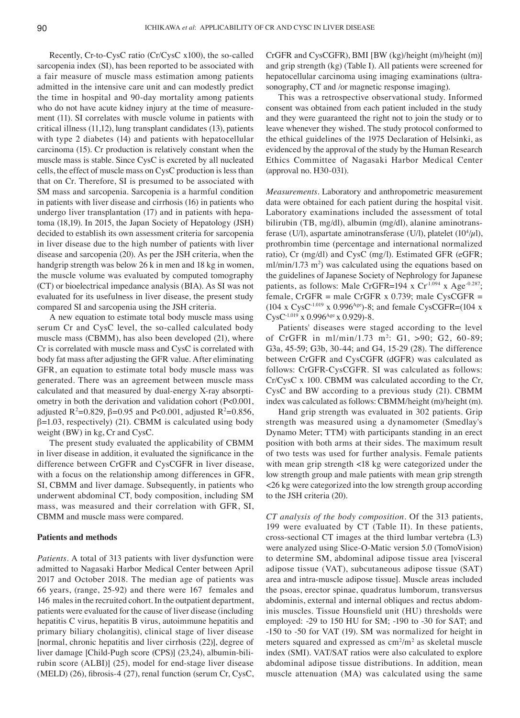Recently, Cr-to-CysC ratio (Cr/CysC x100), the so-called sarcopenia index (SI), has been reported to be associated with a fair measure of muscle mass estimation among patients admitted in the intensive care unit and can modestly predict the time in hospital and 90-day mortality among patients who do not have acute kidney injury at the time of measurement (11). SI correlates with muscle volume in patients with critical illness (11,12), lung transplant candidates (13), patients with type 2 diabetes (14) and patients with hepatocellular carcinoma (15). Cr production is relatively constant when the muscle mass is stable. Since CysC is excreted by all nucleated cells, the effect of muscle mass on CysC production is less than that on Cr. Therefore, SI is presumed to be associated with SM mass and sarcopenia. Sarcopenia is a harmful condition in patients with liver disease and cirrhosis (16) in patients who undergo liver transplantation (17) and in patients with hepatoma (18,19). In 2015, the Japan Society of Hepatology (JSH) decided to establish its own assessment criteria for sarcopenia in liver disease due to the high number of patients with liver disease and sarcopenia (20). As per the JSH criteria, when the handgrip strength was below 26 k in men and 18 kg in women, the muscle volume was evaluated by computed tomography (CT) or bioelectrical impedance analysis (BIA). As SI was not evaluated for its usefulness in liver disease, the present study compared SI and sarcopenia using the JSH criteria.

A new equation to estimate total body muscle mass using serum Cr and CysC level, the so-called calculated body muscle mass (CBMM), has also been developed (21), where Cr is correlated with muscle mass and CysC is correlated with body fat mass after adjusting the GFR value. After eliminating GFR, an equation to estimate total body muscle mass was generated. There was an agreement between muscle mass calculated and that measured by dual-energy X-ray absorptiometry in both the derivation and validation cohort (P<0.001, adjusted  $R^2 = 0.829$ ,  $\beta = 0.95$  and P<0.001, adjusted  $R^2 = 0.856$ ,  $\beta$ =1.03, respectively) (21). CBMM is calculated using body weight (BW) in kg, Cr and CysC.

The present study evaluated the applicability of CBMM in liver disease in addition, it evaluated the significance in the difference between CrGFR and CysCGFR in liver disease, with a focus on the relationship among differences in GFR, SI, CBMM and liver damage. Subsequently, in patients who underwent abdominal CT, body composition, including SM mass, was measured and their correlation with GFR, SI, CBMM and muscle mass were compared.

#### **Patients and methods**

*Patients.* A total of 313 patients with liver dysfunction were admitted to Nagasaki Harbor Medical Center between April 2017 and October 2018. The median age of patients was 66 years, (range, 25‑92) and there were 167 females and 146 males in the recruited cohort. In the outpatient department, patients were evaluated for the cause of liver disease (including hepatitis C virus, hepatitis B virus, autoimmune hepatitis and primary biliary cholangitis), clinical stage of liver disease [normal, chronic hepatitis and liver cirrhosis (22)], degree of liver damage [Child-Pugh score (CPS)] (23,24), albumin-bilirubin score (ALBI)] (25), model for end-stage liver disease (MELD) (26), fibrosis-4 (27), renal function (serum Cr, CysC, CrGFR and CysCGFR), BMI [BW (kg)/height (m)/height (m)] and grip strength (kg) (Table I). All patients were screened for hepatocellular carcinoma using imaging examinations (ultrasonography, CT and /or magnetic response imaging).

This was a retrospective observational study. Informed consent was obtained from each patient included in the study and they were guaranteed the right not to join the study or to leave whenever they wished. The study protocol conformed to the ethical guidelines of the 1975 Declaration of Helsinki, as evidenced by the approval of the study by the Human Research Ethics Committee of Nagasaki Harbor Medical Center (approval no. H30-031).

*Measurements.* Laboratory and anthropometric measurement data were obtained for each patient during the hospital visit. Laboratory examinations included the assessment of total bilirubin (TB, mg/dl), albumin (mg/dl), alanine aminotransferase (U/l), aspartate aminotransferase (U/l), platelet  $(10^4/\mu l)$ , prothrombin time (percentage and international normalized ratio), Cr (mg/dl) and CysC (mg/l). Estimated GFR (eGFR;  $ml/min/1.73 \text{ m}^2$ ) was calculated using the equations based on the guidelines of Japanese Society of Nephrology for Japanese patients, as follows: Male CrGFR=194 x Cr<sup>1.094</sup> x Age<sup>-0.287</sup>; female, CrGFR = male CrGFR x  $0.739$ ; male CysCGFR = (104 x CysC<sup>-1.019</sup> x 0.996<sup>Age</sup>)-8; and female CysCGFR=(104 x  $C$ ysC<sup>-1.019</sup> x 0.996<sup>Age</sup> x 0.929)-8.

Patients' diseases were staged according to the level of CrGFR in ml/min/1.73 m<sup>2</sup>: G1, >90; G2, 60-89; G3a, 45‑59; G3b, 30‑44; and G4, 15‑29 (28). The difference between CrGFR and CysCGFR (dGFR) was calculated as follows: CrGFR-CysCGFR. SI was calculated as follows: Cr/CysC x 100. CBMM was calculated according to the Cr, CysC and BW according to a previous study (21). CBMM index was calculated as follows: CBMM/height (m)/height (m).

Hand grip strength was evaluated in 302 patients. Grip strength was measured using a dynamometer (Smedlay's Dynamo Meter; TTM) with participants standing in an erect position with both arms at their sides. The maximum result of two tests was used for further analysis. Female patients with mean grip strength <18 kg were categorized under the low strength group and male patients with mean grip strength <26 kg were categorized into the low strength group according to the JSH criteria (20).

*CT analysis of the body composition.* Of the 313 patients, 199 were evaluated by CT (Table II). In these patients, cross-sectional CT images at the third lumbar vertebra (L3) were analyzed using Slice-O-Matic version 5.0 (TomoVision) to determine SM, abdominal adipose tissue area [visceral adipose tissue (VAT), subcutaneous adipose tissue (SAT) area and intra-muscle adipose tissue]. Muscle areas included the psoas, erector spinae, quadratus lumborum, transversus abdominis, external and internal obliques and rectus abdominis muscles. Tissue Hounsfield unit (HU) thresholds were employed: -29 to 150 HU for SM; -190 to -30 for SAT; and -150 to -50 for VAT (19). SM was normalized for height in meters squared and expressed as  $\text{cm}^2/\text{m}^2$  as skeletal muscle index (SMI). VAT/SAT ratios were also calculated to explore abdominal adipose tissue distributions. In addition, mean muscle attenuation (MA) was calculated using the same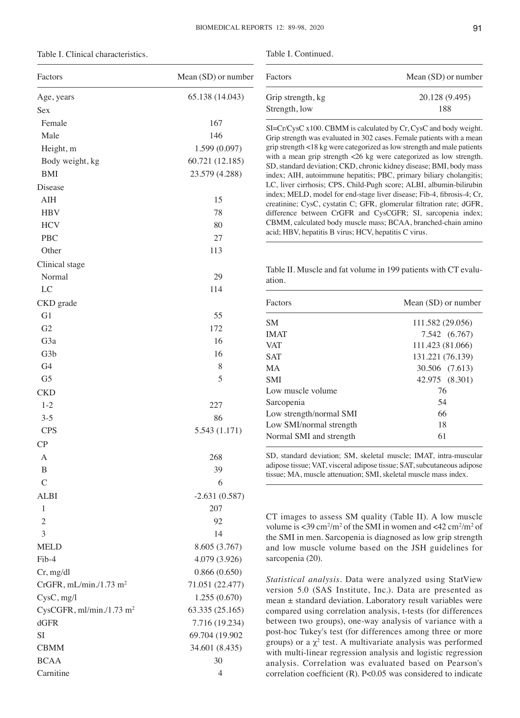Table I. Clinical characteristics.

| Factors                                  | Mean (SD) or number |
|------------------------------------------|---------------------|
| Age, years                               | 65.138 (14.043)     |
| Sex                                      |                     |
| Female                                   | 167                 |
| Male                                     | 146                 |
| Height, m                                | 1.599 (0.097)       |
| Body weight, kg                          | 60.721 (12.185)     |
| <b>BMI</b>                               | 23.579 (4.288)      |
| Disease                                  |                     |
| AIH                                      | 15                  |
| <b>HBV</b>                               | 78                  |
| <b>HCV</b>                               | 80                  |
| <b>PBC</b>                               | 27                  |
| Other                                    | 113                 |
| Clinical stage                           |                     |
| Normal                                   | 29                  |
| LC                                       | 114                 |
|                                          |                     |
| CKD grade<br>G1                          | 55                  |
|                                          |                     |
| G2                                       | 172                 |
| G <sub>3</sub> a                         | 16                  |
| G <sub>3</sub> b                         | 16                  |
| G4                                       | 8                   |
| G <sub>5</sub>                           | 5                   |
| <b>CKD</b>                               |                     |
| $1 - 2$                                  | 227                 |
| $3 - 5$                                  | 86                  |
| <b>CPS</b>                               | 5.543 (1.171)       |
| CP                                       |                     |
| A                                        | 268                 |
| В                                        | 39                  |
| $\overline{C}$                           | 6                   |
| <b>ALBI</b>                              | $-2.631(0.587)$     |
| 1                                        | 207                 |
| $\overline{2}$                           | 92                  |
| 3                                        | 14                  |
| <b>MELD</b>                              | 8.605 (3.767)       |
| Fib-4                                    | 4.079 (3.926)       |
| Cr, mg/dl                                | 0.866(0.650)        |
| CrGFR, $mL/min. / 1.73$ m <sup>2</sup>   | 71.051 (22.477)     |
| CysC, mg/l                               | 1.255 (0.670)       |
| CysCGFR, $ml/min. / 1.73$ m <sup>2</sup> | 63.335 (25.165)     |
| dGFR                                     | 7.716 (19.234)      |
| <b>SI</b>                                | 69.704 (19.902      |
| <b>CBMM</b>                              | 34.601 (8.435)      |
| <b>BCAA</b>                              | 30                  |
| Carnitine                                | 4                   |

Table I. Continued.

| Factors           | Mean (SD) or number |
|-------------------|---------------------|
| Grip strength, kg | 20.128 (9.495)      |
| Strength, low     | 188                 |

SI=Cr/CysC x100. CBMM is calculated by Cr, CysC and body weight. Grip strength was evaluated in 302 cases. Female patients with a mean grip strength <18 kg were categorized as low strength and male patients with a mean grip strength <26 kg were categorized as low strength. SD, standard deviation; CKD, chronic kidney disease; BMI, body mass index; AIH, autoimmune hepatitis; PBC, primary biliary cholangitis; LC, liver cirrhosis; CPS, Child-Pugh score; ALBI, albumin-bilirubin index; MELD, model for end‑stage liver disease; Fib‑4, fibrosis‑4; Cr, creatinine; CysC, cystatin C; GFR, glomerular filtration rate; dGFR, difference between CrGFR and CysCGFR; SI, sarcopenia index; CBMM, calculated body muscle mass; BCAA, branched-chain amino acid; HBV, hepatitis B virus; HCV, hepatitis C virus.

Table II. Muscle and fat volume in 199 patients with CT evaluation.

| Factors                 | Mean (SD) or number |
|-------------------------|---------------------|
| SM.                     | 111.582 (29.056)    |
| <b>IMAT</b>             | 7.542 (6.767)       |
| <b>VAT</b>              | 111.423 (81.066)    |
| <b>SAT</b>              | 131.221 (76.139)    |
| MА                      | 30.506 (7.613)      |
| <b>SMI</b>              | 42.975 (8.301)      |
| Low muscle volume       | 76                  |
| Sarcopenia              | 54                  |
| Low strength/normal SMI | 66                  |
| Low SMI/normal strength | 18                  |
| Normal SMI and strength | 61                  |
|                         |                     |

SD, standard deviation; SM, skeletal muscle; IMAT, intra-muscular adipose tissue; VAT, visceral adipose tissue; SAT, subcutaneous adipose tissue; MA, muscle attenuation; SMI, skeletal muscle mass index.

CT images to assess SM quality (Table II). A low muscle volume is  $\langle 39 \text{ cm}^2/\text{m}^2$  of the SMI in women and  $\langle 42 \text{ cm}^2/\text{m}^2$  of the SMI in men. Sarcopenia is diagnosed as low grip strength and low muscle volume based on the JSH guidelines for sarcopenia (20).

*Statistical analysis.* Data were analyzed using StatView version 5.0 (SAS Institute, Inc.). Data are presented as mean ± standard deviation. Laboratory result variables were compared using correlation analysis, t-tests (for differences between two groups), one-way analysis of variance with a post-hoc Tukey's test (for differences among three or more groups) or a  $\chi^2$  test. A multivariate analysis was performed with multi-linear regression analysis and logistic regression analysis. Correlation was evaluated based on Pearson's correlation coefficient (R). P<0.05 was considered to indicate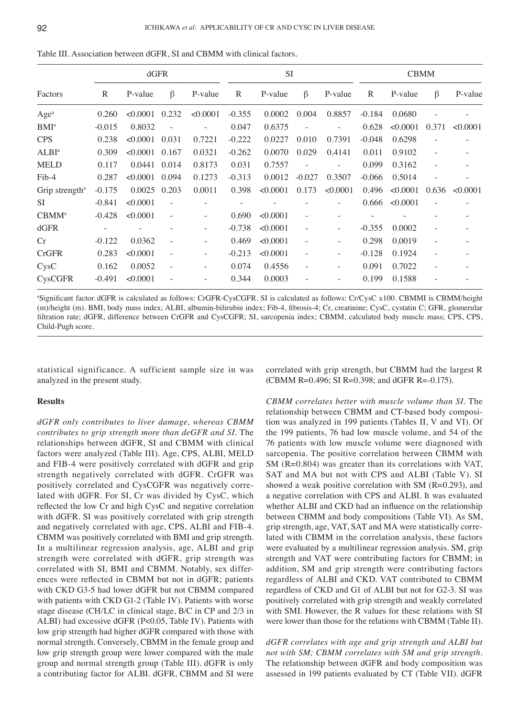|                            | dGFR     |          |                          |                   | <b>SI</b> |          |                          | <b>CBMM</b>              |          |          |         |                          |
|----------------------------|----------|----------|--------------------------|-------------------|-----------|----------|--------------------------|--------------------------|----------|----------|---------|--------------------------|
| Factors                    | R        | P-value  | $\beta$                  | P-value           | R         | P-value  | $\beta$                  | P-value                  | R        | P-value  | $\beta$ | P-value                  |
| Age <sup>a</sup>           | 0.260    | < 0.0001 | 0.232                    | < 0.0001          | $-0.355$  | 0.0002   | 0.004                    | 0.8857                   | $-0.184$ | 0.0680   |         |                          |
| $BMI^a$                    | $-0.015$ | 0.8032   |                          |                   | 0.047     | 0.6375   |                          |                          | 0.628    | < 0.0001 | 0.371   | < 0.0001                 |
| <b>CPS</b>                 | 0.238    | < 0.0001 | 0.031                    | 0.7221            | $-0.222$  | 0.0227   | 0.010                    | 0.7391                   | $-0.048$ | 0.6298   |         | $\overline{\phantom{0}}$ |
| ALBI <sup>a</sup>          | 0.309    | < 0.0001 | 0.167                    | 0.0321            | $-0.262$  | 0.0070   | 0.029                    | 0.4141                   | 0.011    | 0.9102   |         |                          |
| MELD                       | 0.117    | 0.0441   | 0.014                    | 0.8173            | 0.031     | 0.7557   |                          |                          | 0.099    | 0.3162   |         |                          |
| Fib-4                      | 0.287    | < 0.0001 | 0.094                    | 0.1273            | $-0.313$  | 0.0012   | $-0.027$                 | 0.3507                   | $-0.066$ | 0.5014   |         |                          |
| Grip strength <sup>a</sup> | $-0.175$ | 0.0025   | 0.203                    | 0.0011            | 0.398     | < 0.0001 | 0.173                    | < 0.0001                 | 0.496    | < 0.0001 | 0.636   | < 0.0001                 |
| SI                         | $-0.841$ | < 0.0001 | $\overline{\phantom{a}}$ |                   |           |          |                          |                          | 0.666    | < 0.0001 |         |                          |
| $CBMM^a$                   | $-0.428$ | < 0.0001 |                          |                   | 0.690     | < 0.0001 |                          |                          |          |          |         |                          |
| dGFR                       |          |          |                          |                   | $-0.738$  | < 0.0001 | $\overline{\phantom{a}}$ | $\overline{\phantom{a}}$ | $-0.355$ | 0.0002   |         |                          |
| Cr                         | $-0.122$ | 0.0362   |                          |                   | 0.469     | < 0.0001 |                          |                          | 0.298    | 0.0019   |         |                          |
| <b>CrGFR</b>               | 0.283    | < 0.0001 | $\overline{\phantom{a}}$ |                   | $-0.213$  | < 0.0001 |                          | $\overline{\phantom{a}}$ | $-0.128$ | 0.1924   |         |                          |
| C <sub>ysC</sub>           | 0.162    | 0.0052   | $\overline{\phantom{a}}$ |                   | 0.074     | 0.4556   |                          |                          | 0.091    | 0.7022   |         |                          |
| <b>CysCGFR</b>             | $-0.491$ | < 0.0001 | $\overline{a}$           | $\qquad \qquad -$ | 0.344     | 0.0003   |                          |                          | 0.199    | 0.1588   |         |                          |

Table III. Association between dGFR, SI and CBMM with clinical factors.

a Significant factor. dGFR is calculated as follows: CrGFR‑CysCGFR. SI is calculated as follows: Cr/CysC x100. CBMMI is CBMM/height (m)/height (m). BMI, body mass index; ALBI, albumin‑bilirubin index; Fib‑4, fibrosis‑4; Cr, creatinine; CysC, cystatin C; GFR, glomerular filtration rate; dGFR, difference between CrGFR and CysCGFR; SI, sarcopenia index; CBMM, calculated body muscle mass; CPS, CPS, Child-Pugh score.

statistical significance. A sufficient sample size in was analyzed in the present study.

## **Results**

*dGFR only contributes to liver damage, whereas CBMM contributes to grip strength more than deGFR and SI.* The relationships between dGFR, SI and CBMM with clinical factors were analyzed (Table III). Age, CPS, ALBI, MELD and FIB‑4 were positively correlated with dGFR and grip strength negatively correlated with dGFR. CrGFR was positively correlated and CysCGFR was negatively correlated with dGFR. For SI, Cr was divided by CysC, which reflected the low Cr and high CysC and negative correlation with dGFR. SI was positively correlated with grip strength and negatively correlated with age, CPS, ALBI and FIB‑4. CBMM was positively correlated with BMI and grip strength. In a multilinear regression analysis, age, ALBI and grip strength were correlated with dGFR, grip strength was correlated with SI, BMI and CBMM. Notably, sex differences were reflected in CBMM but not in dGFR; patients with CKD G3-5 had lower dGFR but not CBMM compared with patients with CKD G1-2 (Table IV). Patients with worse stage disease (CH/LC in clinical stage, B/C in CP and 2/3 in ALBI) had excessive dGFR (P<0.05, Table IV). Patients with low grip strength had higher dGFR compared with those with normal strength. Conversely, CBMM in the female group and low grip strength group were lower compared with the male group and normal strength group (Table III). dGFR is only a contributing factor for ALBI. dGFR, CBMM and SI were correlated with grip strength, but CBMM had the largest R (CBMM R=0.496; SI R=0.398; and dGFR R=‑0.175).

*CBMM correlates better with muscle volume than SI.* The relationship between CBMM and CT-based body composition was analyzed in 199 patients (Tables II, V and VI). Of the 199 patients, 76 had low muscle volume, and 54 of the 76 patients with low muscle volume were diagnosed with sarcopenia. The positive correlation between CBMM with SM (R=0.804) was greater than its correlations with VAT, SAT and MA but not with CPS and ALBI (Table V). SI showed a weak positive correlation with SM  $(R=0.293)$ , and a negative correlation with CPS and ALBI. It was evaluated whether ALBI and CKD had an influence on the relationship between CBMM and body compositions (Table VI). As SM, grip strength, age, VAT, SAT and MA were statistically correlated with CBMM in the correlation analysis, these factors were evaluated by a multilinear regression analysis. SM, grip strength and VAT were contributing factors for CBMM; in addition, SM and grip strength were contributing factors regardless of ALBI and CKD. VAT contributed to CBMM regardless of CKD and G1 of ALBI but not for G2-3. SI was positively correlated with grip strength and weakly correlated with SMI. However, the R values for these relations with SI were lower than those for the relations with CBMM (Table II).

*dGFR correlates with age and grip strength and ALBI but not with SM; CBMM correlates with SM and grip strength.*  The relationship between dGFR and body composition was assessed in 199 patients evaluated by CT (Table VII). dGFR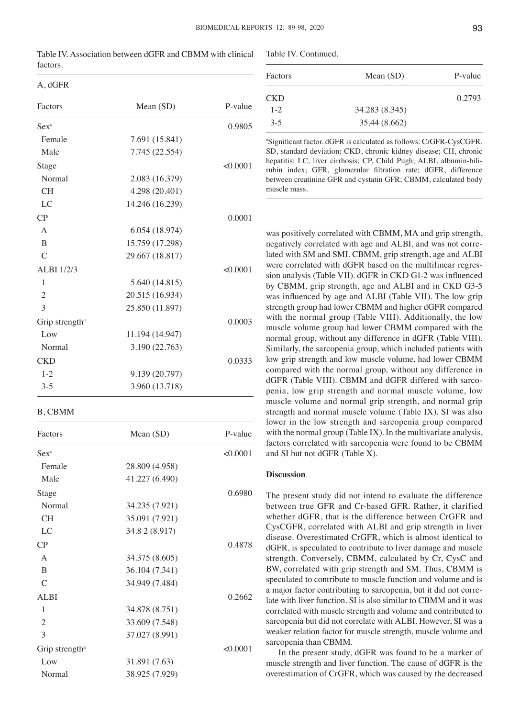| A, CUFK                    |                 |          |
|----------------------------|-----------------|----------|
| Factors                    | Mean $(SD)$     | P-value  |
| $Sex^a$                    |                 | 0.9805   |
| Female                     | 7.691 (15.841)  |          |
| Male                       | 7.745 (22.554)  |          |
| Stage                      |                 | < 0.0001 |
| Normal                     | 2.083 (16.379)  |          |
| <b>CH</b>                  | 4.298 (20.401)  |          |
| LC                         | 14.246 (16.239) |          |
| CP                         |                 | 0.0001   |
| $\mathsf{A}$               | 6.054 (18.974)  |          |
| B                          | 15.759 (17.298) |          |
| $\mathcal{C}$              | 29.667 (18.817) |          |
| <b>ALBI</b> 1/2/3          |                 | < 0.0001 |
| 1                          | 5.640 (14.815)  |          |
| $\overline{2}$             | 20.515 (16.934) |          |
| 3                          | 25.850 (11.897) |          |
| Grip strength <sup>a</sup> |                 | 0.0003   |
| Low                        | 11.194 (14.947) |          |
| Normal                     | 3.190 (22.763)  |          |
| <b>CKD</b>                 |                 | 0.0333   |
| $1 - 2$                    | 9.139 (20.797)  |          |
| $3 - 5$                    | 3.960 (13.718)  |          |

Table IV. Association between dGFR and CBMM with clinical factors.

## B, CBMM

 $10F<sub>B</sub>$ 

| Factors                    | Mean $(SD)$    | P-value  |
|----------------------------|----------------|----------|
| $Sex^a$                    |                | < 0.0001 |
| Female                     | 28.809 (4.958) |          |
| Male                       | 41.227 (6.490) |          |
| Stage                      |                | 0.6980   |
| Normal                     | 34.235 (7.921) |          |
| <b>CH</b>                  | 35.091 (7.921) |          |
| LC                         | 34.8 2 (8.917) |          |
| CP                         |                | 0.4878   |
| $\mathsf{A}$               | 34.375 (8.605) |          |
| B                          | 36.104 (7.341) |          |
| $\mathcal{C}$              | 34.949 (7.484) |          |
| <b>ALBI</b>                |                | 0.2662   |
| 1                          | 34.878 (8.751) |          |
| $\mathfrak{2}$             | 33.609 (7.548) |          |
| 3                          | 37.027 (8.991) |          |
| Grip strength <sup>a</sup> |                | < 0.0001 |
| Low                        | 31.891 (7.63)  |          |
| Normal                     | 38.925 (7.929) |          |

Table IV. Continued.

| Factors    | Mean $(SD)$    | P-value |
|------------|----------------|---------|
| <b>CKD</b> |                | 0.2793  |
| $1 - 2$    | 34.283 (8.345) |         |
| $3-5$      | 35.44 (8.662)  |         |

a Significant factor. dGFR is calculated as follows: CrGFR‑CysCGFR. SD, standard deviation; CKD, chronic kidney disease; CH, chronic hepatitis; LC, liver cirrhosis; CP, Child Pugh; ALBI, albumin-bilirubin index; GFR, glomerular filtration rate; dGFR, difference between creatinine GFR and cystatin GFR; CBMM, calculated body muscle mass.

was positively correlated with CBMM, MA and grip strength, negatively correlated with age and ALBI, and was not correlated with SM and SMI. CBMM, grip strength, age and ALBI were correlated with dGFR based on the multilinear regression analysis (Table VII). dGFR in CKD G1‑2 was influenced by CBMM, grip strength, age and ALBI and in CKD G3-5 was influenced by age and ALBI (Table VII). The low grip strength group had lower CBMM and higher dGFR compared with the normal group (Table VIII). Additionally, the low muscle volume group had lower CBMM compared with the normal group, without any difference in dGFR (Table VIII). Similarly, the sarcopenia group, which included patients with low grip strength and low muscle volume, had lower CBMM compared with the normal group, without any difference in dGFR (Table VIII). CBMM and dGFR differed with sarcopenia, low grip strength and normal muscle volume, low muscle volume and normal grip strength, and normal grip strength and normal muscle volume (Table IX). SI was also lower in the low strength and sarcopenia group compared with the normal group (Table IX). In the multivariate analysis, factors correlated with sarcopenia were found to be CBMM and SI but not dGFR (Table X).

## **Discussion**

The present study did not intend to evaluate the difference between true GFR and Cr-based GFR. Rather, it clarified whether dGFR, that is the difference between CrGFR and CysCGFR, correlated with ALBI and grip strength in liver disease. Overestimated CrGFR, which is almost identical to dGFR, is speculated to contribute to liver damage and muscle strength. Conversely, CBMM, calculated by Cr, CysC and BW, correlated with grip strength and SM. Thus, CBMM is speculated to contribute to muscle function and volume and is a major factor contributing to sarcopenia, but it did not correlate with liver function. SI is also similar to CBMM and it was correlated with muscle strength and volume and contributed to sarcopenia but did not correlate with ALBI. However, SI was a weaker relation factor for muscle strength, muscle volume and sarcopenia than CBMM.

In the present study, dGFR was found to be a marker of muscle strength and liver function. The cause of dGFR is the overestimation of CrGFR, which was caused by the decreased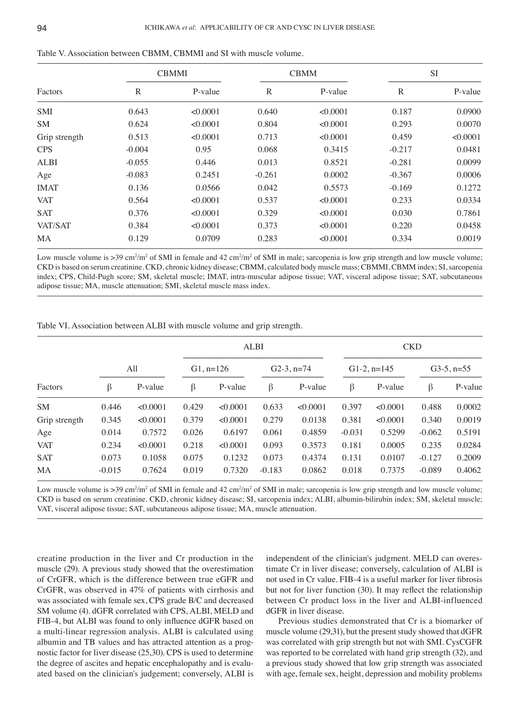|               |              | <b>CBMMI</b> |          | <b>CBMM</b> | <b>SI</b> |          |
|---------------|--------------|--------------|----------|-------------|-----------|----------|
| Factors       | $\mathbb{R}$ | P-value      | R        | P-value     | R         | P-value  |
| <b>SMI</b>    | 0.643        | < 0.0001     | 0.640    | < 0.0001    | 0.187     | 0.0900   |
| <b>SM</b>     | 0.624        | < 0.0001     | 0.804    | < 0.0001    | 0.293     | 0.0070   |
| Grip strength | 0.513        | < 0.0001     | 0.713    | < 0.0001    | 0.459     | < 0.0001 |
| <b>CPS</b>    | $-0.004$     | 0.95         | 0.068    | 0.3415      | $-0.217$  | 0.0481   |
| <b>ALBI</b>   | $-0.055$     | 0.446        | 0.013    | 0.8521      | $-0.281$  | 0.0099   |
| Age           | $-0.083$     | 0.2451       | $-0.261$ | 0.0002      | $-0.367$  | 0.0006   |
| <b>IMAT</b>   | 0.136        | 0.0566       | 0.042    | 0.5573      | $-0.169$  | 0.1272   |
| <b>VAT</b>    | 0.564        | < 0.0001     | 0.537    | < 0.0001    | 0.233     | 0.0334   |
| <b>SAT</b>    | 0.376        | < 0.0001     | 0.329    | < 0.0001    | 0.030     | 0.7861   |
| VAT/SAT       | 0.384        | < 0.0001     | 0.373    | < 0.0001    | 0.220     | 0.0458   |
| MA            | 0.129        | 0.0709       | 0.283    | < 0.0001    | 0.334     | 0.0019   |

Low muscle volume is >39 cm<sup>2</sup>/m<sup>2</sup> of SMI in female and 42 cm<sup>2</sup>/m<sup>2</sup> of SMI in male; sarcopenia is low grip strength and low muscle volume; CKD is based on serum creatinine. CKD, chronic kidney disease; CBMM, calculated body muscle mass; CBMMI, CBMM index; SI, sarcopenia index; CPS, Child-Pugh score; SM, skeletal muscle; IMAT, intra-muscular adipose tissue; VAT, visceral adipose tissue; SAT, subcutaneous adipose tissue; MA, muscle attenuation; SMI, skeletal muscle mass index.

Table VI. Association between ALBI with muscle volume and grip strength.

|               |          |          |             | <b>ALBI</b> |               |          | <b>CKD</b>     |          |               |         |  |
|---------------|----------|----------|-------------|-------------|---------------|----------|----------------|----------|---------------|---------|--|
|               | All      |          | $G1, n=126$ |             | $G2-3$ , n=74 |          | $G1-2$ , n=145 |          | $G3-5$ , n=55 |         |  |
| Factors       | β        | P-value  | β           | P-value     | β             | P-value  | $\beta$        | P-value  | β             | P-value |  |
| <b>SM</b>     | 0.446    | < 0.0001 | 0.429       | < 0.0001    | 0.633         | < 0.0001 | 0.397          | < 0.0001 | 0.488         | 0.0002  |  |
| Grip strength | 0.345    | < 0.0001 | 0.379       | < 0.0001    | 0.279         | 0.0138   | 0.381          | < 0.0001 | 0.340         | 0.0019  |  |
| Age           | 0.014    | 0.7572   | 0.026       | 0.6197      | 0.061         | 0.4859   | $-0.031$       | 0.5299   | $-0.062$      | 0.5191  |  |
| <b>VAT</b>    | 0.234    | < 0.0001 | 0.218       | < 0.0001    | 0.093         | 0.3573   | 0.181          | 0.0005   | 0.235         | 0.0284  |  |
| <b>SAT</b>    | 0.073    | 0.1058   | 0.075       | 0.1232      | 0.073         | 0.4374   | 0.131          | 0.0107   | $-0.127$      | 0.2009  |  |
| MA            | $-0.015$ | 0.7624   | 0.019       | 0.7320      | $-0.183$      | 0.0862   | 0.018          | 0.7375   | $-0.089$      | 0.4062  |  |

Low muscle volume is >39 cm<sup>2</sup>/m<sup>2</sup> of SMI in female and 42 cm<sup>2</sup>/m<sup>2</sup> of SMI in male; sarcopenia is low grip strength and low muscle volume; CKD is based on serum creatinine. CKD, chronic kidney disease; SI, sarcopenia index; ALBI, albumin-bilirubin index; SM, skeletal muscle; VAT, visceral adipose tissue; SAT, subcutaneous adipose tissue; MA, muscle attenuation.

creatine production in the liver and Cr production in the muscle (29). A previous study showed that the overestimation of CrGFR, which is the difference between true eGFR and CrGFR, was observed in 47% of patients with cirrhosis and was associated with female sex, CPS grade B/C and decreased SM volume (4). dGFR correlated with CPS, ALBI, MELD and FIB‑4, but ALBI was found to only influence dGFR based on a multi-linear regression analysis. ALBI is calculated using albumin and TB values and has attracted attention as a prognostic factor for liver disease (25,30). CPS is used to determine the degree of ascites and hepatic encephalopathy and is evaluated based on the clinician's judgement; conversely, ALBI is independent of the clinician's judgment. MELD can overestimate Cr in liver disease; conversely, calculation of ALBI is not used in Cr value. FIB‑4 is a useful marker for liver fibrosis but not for liver function (30). It may reflect the relationship between Cr product loss in the liver and ALBI-influenced dGFR in liver disease.

Previous studies demonstrated that Cr is a biomarker of muscle volume (29,31), but the present study showed that dGFR was correlated with grip strength but not with SMI. CysCGFR was reported to be correlated with hand grip strength (32), and a previous study showed that low grip strength was associated with age, female sex, height, depression and mobility problems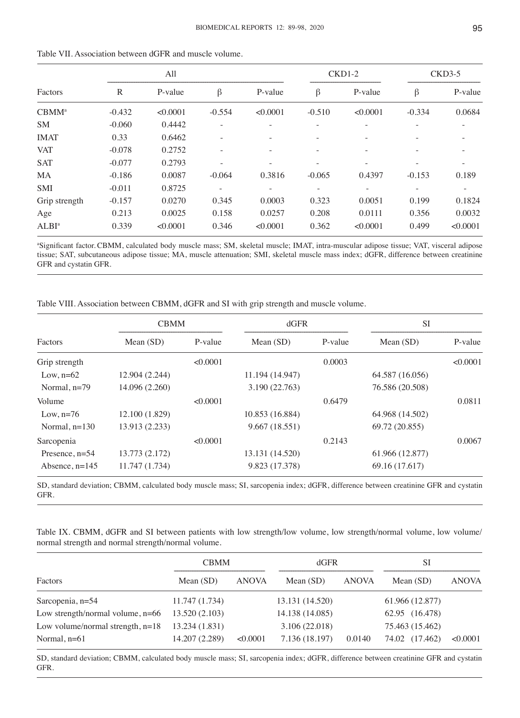|                   |              | All      |                          |                |          | $CKD1-2$                 | $CKD3-5$ |          |
|-------------------|--------------|----------|--------------------------|----------------|----------|--------------------------|----------|----------|
| Factors           | $\mathbb{R}$ | P-value  | $\beta$                  | P-value        | $\beta$  | P-value                  | $\beta$  | P-value  |
| CBMM <sup>a</sup> | $-0.432$     | < 0.0001 | $-0.554$                 | < 0.0001       | $-0.510$ | < 0.0001                 | $-0.334$ | 0.0684   |
| <b>SM</b>         | $-0.060$     | 0.4442   |                          |                |          |                          |          |          |
| <b>IMAT</b>       | 0.33         | 0.6462   | $\overline{\phantom{0}}$ |                |          |                          |          |          |
| <b>VAT</b>        | $-0.078$     | 0.2752   | $\overline{a}$           | $\overline{a}$ |          | $\overline{\phantom{0}}$ |          |          |
| <b>SAT</b>        | $-0.077$     | 0.2793   |                          |                |          |                          |          |          |
| MA                | $-0.186$     | 0.0087   | $-0.064$                 | 0.3816         | $-0.065$ | 0.4397                   | $-0.153$ | 0.189    |
| <b>SMI</b>        | $-0.011$     | 0.8725   |                          |                |          |                          |          |          |
| Grip strength     | $-0.157$     | 0.0270   | 0.345                    | 0.0003         | 0.323    | 0.0051                   | 0.199    | 0.1824   |
| Age               | 0.213        | 0.0025   | 0.158                    | 0.0257         | 0.208    | 0.0111                   | 0.356    | 0.0032   |
| ALBI <sup>a</sup> | 0.339        | < 0.0001 | 0.346                    | < 0.0001       | 0.362    | < 0.0001                 | 0.499    | < 0.0001 |

Table VII. Association between dGFR and muscle volume.

a Significant factor. CBMM, calculated body muscle mass; SM, skeletal muscle; IMAT, intra-muscular adipose tissue; VAT, visceral adipose tissue; SAT, subcutaneous adipose tissue; MA, muscle attenuation; SMI, skeletal muscle mass index; dGFR, difference between creatinine GFR and cystatin GFR.

Table VIII. Association between CBMM, dGFR and SI with grip strength and muscle volume.

|                  | <b>CBMM</b>    |          | dGFR            |         | <b>SI</b>       |          |
|------------------|----------------|----------|-----------------|---------|-----------------|----------|
| Factors          | Mean $(SD)$    | P-value  | Mean $(SD)$     | P-value | Mean $(SD)$     | P-value  |
| Grip strength    |                | < 0.0001 |                 | 0.0003  |                 | < 0.0001 |
| Low, $n=62$      | 12.904 (2.244) |          | 11.194 (14.947) |         | 64.587 (16.056) |          |
| Normal, $n=79$   | 14.096 (2.260) |          | 3.190 (22.763)  |         | 76.586 (20.508) |          |
| Volume           |                | < 0.0001 |                 | 0.6479  |                 | 0.0811   |
| Low, $n=76$      | 12.100 (1.829) |          | 10.853 (16.884) |         | 64.968 (14.502) |          |
| Normal, $n=130$  | 13.913 (2.233) |          | 9.667(18.551)   |         | 69.72 (20.855)  |          |
| Sarcopenia       |                | < 0.0001 |                 | 0.2143  |                 | 0.0067   |
| Presence, $n=54$ | 13.773 (2.172) |          | 13.131 (14.520) |         | 61.966 (12.877) |          |
| Absence, $n=145$ | 11.747 (1.734) |          | 9.823 (17.378)  |         | 69.16 (17.617)  |          |

SD, standard deviation; CBMM, calculated body muscle mass; SI, sarcopenia index; dGFR, difference between creatinine GFR and cystatin GFR.

Table IX. CBMM, dGFR and SI between patients with low strength/low volume, low strength/normal volume, low volume/ normal strength and normal strength/normal volume.

|                                    | <b>CBMM</b>    |              | dGFR            |              | <b>SI</b>         |              |
|------------------------------------|----------------|--------------|-----------------|--------------|-------------------|--------------|
| Factors                            | Mean $(SD)$    | <b>ANOVA</b> | Mean $(SD)$     | <b>ANOVA</b> | Mean $(SD)$       | <b>ANOVA</b> |
| Sarcopenia, n=54                   | 11.747(1.734)  |              | 13.131 (14.520) |              | 61.966 (12.877)   |              |
| Low strength/normal volume, $n=66$ | 13.520 (2.103) |              | 14.138 (14.085) |              | 62.95 (16.478)    |              |
| Low volume/normal strength, $n=18$ | 13.234 (1.831) |              | 3.106 (22.018)  |              | 75.463 (15.462)   |              |
| Normal, $n=61$                     | 14.207 (2.289) | < 0.0001     | 7.136 (18.197)  | 0.0140       | (17.462)<br>74.02 | < 0.0001     |

SD, standard deviation; CBMM, calculated body muscle mass; SI, sarcopenia index; dGFR, difference between creatinine GFR and cystatin GFR.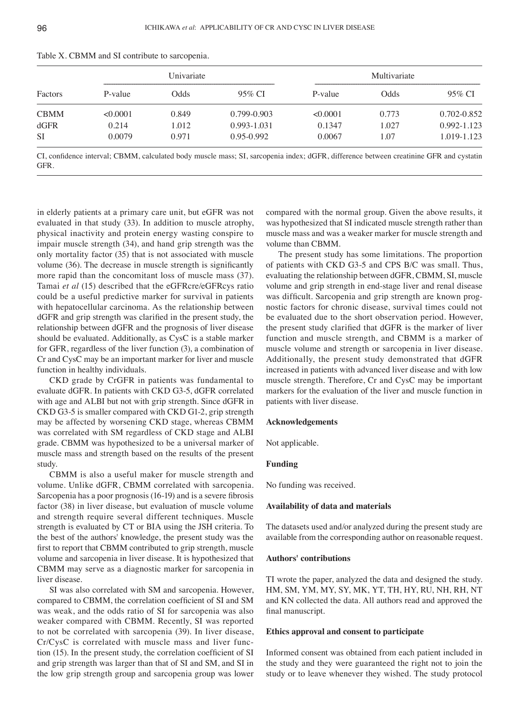| Factors     |          | Univariate |                 |          | Multivariate |                 |
|-------------|----------|------------|-----------------|----------|--------------|-----------------|
|             | P-value  | Odds       | 95% CI          | P-value  | Odds         | 95% CI          |
| <b>CBMM</b> | < 0.0001 | 0.849      | $0.799 - 0.903$ | < 0.0001 | 0.773        | $0.702 - 0.852$ |
| dGFR        | 0.214    | 1.012      | 0.993-1.031     | 0.1347   | 1.027        | 0.992-1.123     |
| <b>SI</b>   | 0.0079   | 0.971      | $0.95 - 0.992$  | 0.0067   | 1.07         | 1.019-1.123     |

Table X. CBMM and SI contribute to sarcopenia.

CI, confidence interval; CBMM, calculated body muscle mass; SI, sarcopenia index; dGFR, difference between creatinine GFR and cystatin GFR.

in elderly patients at a primary care unit, but eGFR was not evaluated in that study (33). In addition to muscle atrophy, physical inactivity and protein energy wasting conspire to impair muscle strength (34), and hand grip strength was the only mortality factor (35) that is not associated with muscle volume (36). The decrease in muscle strength is significantly more rapid than the concomitant loss of muscle mass (37). Tamai *et al* (15) described that the eGFRcre/eGFRcys ratio could be a useful predictive marker for survival in patients with hepatocellular carcinoma. As the relationship between dGFR and grip strength was clarified in the present study, the relationship between dGFR and the prognosis of liver disease should be evaluated. Additionally, as CysC is a stable marker for GFR, regardless of the liver function (3), a combination of Cr and CysC may be an important marker for liver and muscle function in healthy individuals.

CKD grade by CrGFR in patients was fundamental to evaluate dGFR. In patients with CKD G3-5, dGFR correlated with age and ALBI but not with grip strength. Since dGFR in CKD G3-5 is smaller compared with CKD G1-2, grip strength may be affected by worsening CKD stage, whereas CBMM was correlated with SM regardless of CKD stage and ALBI grade. CBMM was hypothesized to be a universal marker of muscle mass and strength based on the results of the present study.

CBMM is also a useful maker for muscle strength and volume. Unlike dGFR, CBMM correlated with sarcopenia. Sarcopenia has a poor prognosis (16‑19) and is a severe fibrosis factor (38) in liver disease, but evaluation of muscle volume and strength require several different techniques. Muscle strength is evaluated by CT or BIA using the JSH criteria. To the best of the authors' knowledge, the present study was the first to report that CBMM contributed to grip strength, muscle volume and sarcopenia in liver disease. It is hypothesized that CBMM may serve as a diagnostic marker for sarcopenia in liver disease.

SI was also correlated with SM and sarcopenia. However, compared to CBMM, the correlation coefficient of SI and SM was weak, and the odds ratio of SI for sarcopenia was also weaker compared with CBMM. Recently, SI was reported to not be correlated with sarcopenia (39). In liver disease, Cr/CysC is correlated with muscle mass and liver function (15). In the present study, the correlation coefficient of SI and grip strength was larger than that of SI and SM, and SI in the low grip strength group and sarcopenia group was lower compared with the normal group. Given the above results, it was hypothesized that SI indicated muscle strength rather than muscle mass and was a weaker marker for muscle strength and volume than CBMM.

The present study has some limitations. The proportion of patients with CKD G3‑5 and CPS B/C was small. Thus, evaluating the relationship between dGFR, CBMM, SI, muscle volume and grip strength in end-stage liver and renal disease was difficult. Sarcopenia and grip strength are known prognostic factors for chronic disease, survival times could not be evaluated due to the short observation period. However, the present study clarified that dGFR is the marker of liver function and muscle strength, and CBMM is a marker of muscle volume and strength or sarcopenia in liver disease. Additionally, the present study demonstrated that dGFR increased in patients with advanced liver disease and with low muscle strength. Therefore, Cr and CysC may be important markers for the evaluation of the liver and muscle function in patients with liver disease.

### **Acknowledgements**

Not applicable.

#### **Funding**

No funding was received.

## **Availability of data and materials**

The datasets used and/or analyzed during the present study are available from the corresponding author on reasonable request.

## **Authors' contributions**

TI wrote the paper, analyzed the data and designed the study. HM, SM, YM, MY, SY, MK, YT, TH, HY, RU, NH, RH, NT and KN collected the data. All authors read and approved the final manuscript.

## **Ethics approval and consent to participate**

Informed consent was obtained from each patient included in the study and they were guaranteed the right not to join the study or to leave whenever they wished. The study protocol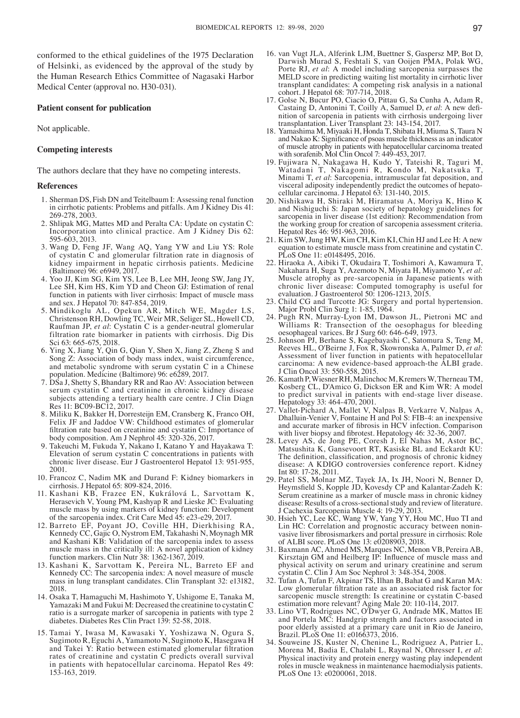conformed to the ethical guidelines of the 1975 Declaration of Helsinki, as evidenced by the approval of the study by the Human Research Ethics Committee of Nagasaki Harbor Medical Center (approval no. H30-031).

#### **Patient consent for publication**

Not applicable.

### **Competing interests**

The authors declare that they have no competing interests.

#### **References**

- 1. Sherman DS, Fish DN and Teitelbaum I: Assessing renal function in cirrhotic patients: Problems and pitfalls. Am J Kidney Dis 41: 269‑278, 2003.
- 2. Shlipak MG, Mattes MD and Peralta CA: Update on cystatin C: Incorporation into clinical practice. Am J Kidney Dis 62: 595‑603, 2013.
- 3. Wang D, Feng JF, Wang AQ, Yang YW and Liu YS: Role of cystatin C and glomerular filtration rate in diagnosis of kidney impairment in hepatic cirrhosis patients. Medicine (Baltimore) 96: e6949, 2017.
- 4. Yoo JJ, Kim SG, Kim YS, Lee B, Lee MH, Jeong SW, Jang JY, Lee SH, Kim HS, Kim YD and Cheon GJ: Estimation of renal function in patients with liver cirrhosis: Impact of muscle mass and sex. J Hepatol 70: 847‑854, 2019.
- 5. Mindikoglu AL, Opekun AR, Mitch WE, Magder LS, Christenson RH, Dowling TC, Weir MR, Seliger SL, Howell CD, Raufman JP, *et al*: Cystatin C is a gender-neutral glomerular filtration rate biomarker in patients with cirrhosis. Dig Dis Sci 63: 665‑675, 2018.
- 6. Ying X, Jiang Y, Qin G, Qian Y, Shen X, Jiang Z, Zheng S and Song Z: Association of body mass index, waist circumference, and metabolic syndrome with serum cystatin C in a Chinese population. Medicine (Baltimore) 96: e6289, 2017.
- 7. DSa J, Shetty S, Bhandary RR and Rao AV: Association between serum cystatin C and creatinine in chronic kidney disease subjects attending a tertiary health care centre. J Clin Diagn Res 11: BC09-BC12, 2017.
- 8. Miliku K, Bakker H, Dorresteijn EM, Cransberg K, Franco OH, Felix JF and Jaddoe VW: Childhood estimates of glomerular filtration rate based on creatinine and cystatin C: Importance of body composition. Am J Nephrol 45: 320‑326, 2017.
- 9. Takeuchi M, Fukuda Y, Nakano I, Katano Y and Hayakawa T: Elevation of serum cystatin C concentrations in patients with chronic liver disease. Eur J Gastroenterol Hepatol 13: 951-955, 2001.
- 10. Francoz C, Nadim MK and Durand F: Kidney biomarkers in cirrhosis. J Hepatol 65: 809‑824, 2016.
- 11. Kashani KB, Frazee EN, Kukrálová L, Sarvottam K, Herasevich V, Young PM, Kashyap R and Lieske JC: Evaluating muscle mass by using markers of kidney function: Development of the sarcopenia index. Crit Care Med 45: e23‑e29, 2017.
- 12. Barreto EF, Poyant JO, Coville HH, Dierkhising RA, Kennedy CC, Gajic O, Nystrom EM, Takahashi N, Moynagh MR and Kashani KB: Validation of the sarcopenia index to assess muscle mass in the critically ill: A novel application of kidney function markers. Clin Nutr 38: 1362‑1367, 2019.
- 13. Kashani K, Sarvottam K, Pereira NL, Barreto EF and Kennedy CC: The sarcopenia index: A novel measure of muscle mass in lung transplant candidates. Clin Transplant 32: e13182, 2018.
- 14. Osaka T, Hamaguchi M, Hashimoto Y, Ushigome E, Tanaka M, Yamazaki M and Fukui M: Decreased the creatinine to cystatin C ratio is a surrogate marker of sarcopenia in patients with type 2 diabetes. Diabetes Res Clin Pract 139: 52-58, 2018.
- 15. Tamai Y, Iwasa M, Kawasaki Y, Yoshizawa N, Ogura S, Sugimoto R, Eguchi A, Yamamoto N, Sugimoto K, Hasegawa H and Takei Y: Ratio between estimated glomerular filtration rates of creatinine and cystatin C predicts overall survival in patients with hepatocellular carcinoma. Hepatol Res 49: 153‑163, 2019.
- 16. van Vugt JLA, Alferink LJM, Buettner S, Gaspersz MP, Bot D, Darwish Murad S, Feshtali S, van Ooijen PMA, Polak WG, Porte RJ, *et al*: A model including sarcopenia surpasses the MELD score in predicting waiting list mortality in cirrhotic liver transplant candidates: A competing risk analysis in a national cohort. J Hepatol 68: 707‑714, 2018.
- 17. Golse N, Bucur PO, Ciacio O, Pittau G, Sa Cunha A, Adam R, Castaing D, Antonini T, Coilly A, Samuel D, et al: A new definition of sarcopenia in patients with cirrhosis undergoing liver transplantation. Liver Transplant 23: 143‑154, 2017.
- 18. Yamashima M, Miyaaki H, Honda T, Shibata H, Miuma S, Taura N and Nakao K: Significance of psoas muscle thickness as an indicator of muscle atrophy in patients with hepatocellular carcinoma treated with sorafenib. Mol Clin Oncol 7: 449‑453, 2017.
- 19. Fujiwara N, Nakagawa H, Kudo Y, Tateishi R, Taguri M, Watadani T, Nakagomi R, Kondo M, Nakatsuka T, Minami T, *et al*: Sarcopenia, intramuscular fat deposition, and visceral adiposity independently predict the outcomes of hepato-<br>cellular carcinoma. J Hepatol 63: 131-140, 2015.
- 20. Nishikawa H, Shiraki M, Hiramatsu A, Moriya K, Hino K and Nishiguchi S: Japan society of hepatology guidelines for sarcopenia in liver disease (1st edition): Recommendation from the working group for creation of sarcopenia assessment criteria. Hepatol Res 46: 951‑963, 2016.
- 21. Kim SW, Jung HW, Kim CH, Kim KI, Chin HJ and Lee H: A new equation to estimate muscle mass from creatinine and cystatin C. PLoS One 11: e0148495, 2016.
- 22. Hiraoka A, Aibiki T, Okudaira T, Toshimori A, Kawamura T, Nakahara H, Suga Y, Azemoto N, Miyata H, Miyamoto Y, et al. Muscle atrophy as pre-sarcopenia in Japanese patients with chronic liver disease: Computed tomography is useful for evaluation. J Gastroenterol 50: 1206-1213, 2015.
- 23. Child CG and Turcotte JG: Surgery and portal hypertension. Major Probl Clin Surg 1: 1‑85, 1964.
- 24. Pugh RN, Murray-Lyon IM, Dawson JL, Pietroni MC and Williams R: Transection of the oesophagus for bleeding oesophageal varices. Br J Surg 60: 646‑649, 1973.
- 25. Johnson PJ, Berhane S, Kagebayashi C, Satomura S, Teng M, Reeves HL, O'Beirne J, Fox R, Skowronska A, Palmer D, et al: Assessment of liver function in patients with hepatocellular carcinoma: A new evidence-based approach-the ALBI grade. J Clin Oncol 33: 550-558, 2015.
- 26. Kamath P, Wiesner RH, Malinchoc M, Kremers W, Therneau TM, Kosberg CL, D'Amico G, Dickson ER and Kim WR: A model to predict survival in patients with end-stage liver disease. Hepatology 33: 464‑470, 2001.
- 27. Vallet-Pichard A, Mallet V, Nalpas B, Verkarre V, Nalpas A, Dhalluin‑Venier V, Fontaine H and Pol S: FIB‑4: an inexpensive and accurate marker of fibrosis in HCV infection. Comparison with liver biopsy and fibrotest. Hepatology 46: 32‑36, 2007.
- 28. Levey AS, de Jong PE, Coresh J, El Nahas M, Astor BC, Matsushita K, Gansevoort RT, Kasiske BL and Eckardt KU: The definition, classification, and prognosis of chronic kidney disease: A KDIGO controversies conference report. Kidney Int 80: 17-28, 2011.
- 29. Patel SS, Molnar MZ, Tayek JA, Ix JH, Noori N, Benner D, Heymsfield S, Kopple JD, Kovesdy CP and Kalantar-Zadeh K: Serum creatinine as a marker of muscle mass in chronic kidney disease: Results of a cross-sectional study and review of literature. J Cachexia Sarcopenia Muscle 4: 19‑29, 2013.
- 30. Hsieh YC, Lee KC, Wang YW, Yang YY, Hou MC, Huo TI and vasive liver fibrosismarkers and portal pressure in cirrhosis: Role of ALBI score. PLoS One 13: e0208903, 2018.
- 31. Baxmann AC, Ahmed MS, Marques NC, Menon VB, Pereira AB, Kirsztajn GM and Heilberg IP: Influence of muscle mass and physical activity on serum and urinary creatinine and serum cystatin C. Clin J Am Soc Nephrol 3: 348‑354, 2008.
- 32. Tufan A, Tufan F, Akpinar TS, Ilhan B, Bahat G and Karan MA: Low glomerular filtration rate as an associated risk factor for sarcopenic muscle strength: Is creatinine or cystatin C-based estimation more relevant? Aging Male 20: 110‑114, 2017.
- 33. Lino VT, Rodrigues NC, O'Dwyer G, Andrade MK, Mattos IE and Portela MC: Handgrip strength and factors associated in poor elderly assisted at a primary care unit in Rio de Janeiro, Brazil. PLoS One 11: e0166373, 2016.
- 34. Souweine JS, Kuster N, Chenine L, Rodriguez A, Patrier L, Morena M, Badia E, Chalabi L, Raynal N, Ohresser I, et al: Physical inactivity and protein energy wasting play independent roles in muscle weakness in maintenance haemodialysis patients. PLoS One 13: e0200061, 2018.